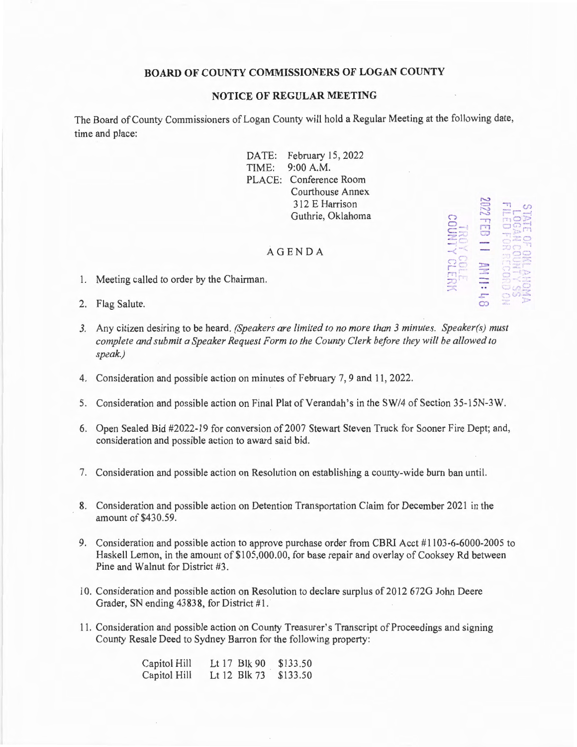## **BOARD OF COUNTY COMMISSIONERS OF LOGAN COUNTY**

## **NOTICE OF REGULAR MEETING**

The Board of County Commissioners of Logan County will hold a Regular Meeting at the following date, time and place:

> DATE: February 15, 2022 TIME: 9:00 A.M. PLACE: Conference Room Courthouse Annex 3 12 E Harrison Guthrie, Oklahoma

## AG E NDA

- 1. Meeting called to order by the Chairman.
- 2. Flag Salute.
- *3.* Any citizen desiring to be heard. *(Speakers are limited to no more than 3 minutes. Speaker(s) must complete and submit a Speaker Request Form to the County Clerk before they will be allowed to speak.)*
- 4. Consideration and possible action on minutes of February 7, 9 and 11 , 2022.
- 5. Consideration and possible action on Final Plat of Verandah's in the SW/4 of Section 35-l 5N-3W.
- 6. Open Sealed Bid #2022-19 for conversion of 2007 Stewart Steven Truck for Sooner Fire Dept; and, consideration and possible action to award said bid.
- 7. Consideration and possible action on Resolution on establishing a county-wide burn ban until.
- 8. Consideration and possible action on Detention Transportation Claim for December 2021 in the amount of \$430.59.
- 9. Consideration and possible action to approve purchase order from CBRT Acct # l 103-6-6000-2005 to Haskell Lemon, in the amount of \$105,000.00, for base repair and overlay of Cooksey Rd between Pine and Walnut for District #3.
- 10. Consideration and possible action on Resolution to declare surplus of 2012 672G John Deere Grader, SN ending 43838, for District #1.
- 11. Consideration and possible action on County Treasurer's Transcript of Proceedings and signing County Resale Deed to Sydney Barron for the following property:

| Capitol Hill | Lt 17 Blk 90 | \$133.50 |
|--------------|--------------|----------|
| Capitol Hill | Lt 12 Blk 73 | \$133.50 |

| 冖 |         | m<br>2 kunne<br>     |
|---|---------|----------------------|
|   |         | <b>Grif</b><br>a isa |
|   |         | wipis on             |
|   | డా<br>œ | <b>The</b>           |

 $\overline{\rm vol}$